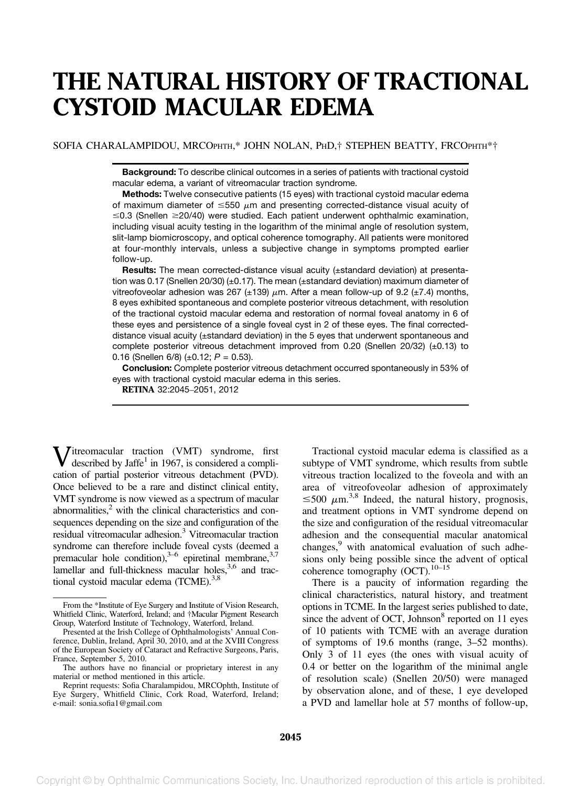# THE NATURAL HISTORY OF TRACTIONAL CYSTOID MACULAR EDEMA

## SOFIA CHARALAMPIDOU, MRCOPHTH,\* JOHN NOLAN, PHD,† STEPHEN BEATTY, FRCOPHTH\*†

Background: To describe clinical outcomes in a series of patients with tractional cystoid macular edema, a variant of vitreomacular traction syndrome.

Methods: Twelve consecutive patients (15 eyes) with tractional cystoid macular edema of maximum diameter of  $\leq 550 \mu m$  and presenting corrected-distance visual acuity of  $\leq$ 0.3 (Snellen  $\geq$ 20/40) were studied. Each patient underwent ophthalmic examination, including visual acuity testing in the logarithm of the minimal angle of resolution system, slit-lamp biomicroscopy, and optical coherence tomography. All patients were monitored at four-monthly intervals, unless a subjective change in symptoms prompted earlier follow-up.

Results: The mean corrected-distance visual acuity (±standard deviation) at presentation was 0.17 (Snellen 20/30) (±0.17). The mean (±standard deviation) maximum diameter of vitreofoveolar adhesion was 267 ( $\pm$ 139)  $\mu$ m. After a mean follow-up of 9.2 ( $\pm$ 7.4) months, 8 eyes exhibited spontaneous and complete posterior vitreous detachment, with resolution of the tractional cystoid macular edema and restoration of normal foveal anatomy in 6 of these eyes and persistence of a single foveal cyst in 2 of these eyes. The final correcteddistance visual acuity (±standard deviation) in the 5 eyes that underwent spontaneous and complete posterior vitreous detachment improved from 0.20 (Snellen 20/32)  $(\pm 0.13)$  to 0.16 (Snellen 6/8) (±0.12;  $P = 0.53$ ).

Conclusion: Complete posterior vitreous detachment occurred spontaneously in 53% of eyes with tractional cystoid macular edema in this series.

RETINA 32:2045–2051, 2012

Vitreomacular traction (VMT) syndrome, first described by Jaffe<sup>1</sup> in 1967, is considered a complication of partial posterior vitreous detachment (PVD). Once believed to be a rare and distinct clinical entity, VMT syndrome is now viewed as a spectrum of macular abnormalities, $<sup>2</sup>$  with the clinical characteristics and con-</sup> sequences depending on the size and configuration of the residual vitreomacular adhesion.3 Vitreomacular traction syndrome can therefore include foveal cysts (deemed a premacular hole condition),  $3-6$  epiretinal membrane,  $3,7$ lamellar and full-thickness macular holes,<sup>3,6</sup> and tractional cystoid macular edema (TCME).<sup>3,8</sup>

Tractional cystoid macular edema is classified as a subtype of VMT syndrome, which results from subtle vitreous traction localized to the foveola and with an area of vitreofoveolar adhesion of approximately  $\leq$ 500  $\mu$ m.<sup>3,8</sup> Indeed, the natural history, prognosis, and treatment options in VMT syndrome depend on the size and configuration of the residual vitreomacular adhesion and the consequential macular anatomical changes,<sup>9</sup> with anatomical evaluation of such adhesions only being possible since the advent of optical coherence tomography (OCT). $10-15$ 

There is a paucity of information regarding the clinical characteristics, natural history, and treatment options in TCME. In the largest series published to date, since the advent of OCT, Johnson $8$  reported on 11 eyes of 10 patients with TCME with an average duration of symptoms of 19.6 months (range, 3–52 months). Only 3 of 11 eyes (the ones with visual acuity of 0.4 or better on the logarithm of the minimal angle of resolution scale) (Snellen 20/50) were managed by observation alone, and of these, 1 eye developed a PVD and lamellar hole at 57 months of follow-up,

From the \*Institute of Eye Surgery and Institute of Vision Research, Whitfield Clinic, Waterford, Ireland; and †Macular Pigment Research Group, Waterford Institute of Technology, Waterford, Ireland.

Presented at the Irish College of Ophthalmologists' Annual Conference, Dublin, Ireland, April 30, 2010, and at the XVIII Congress of the European Society of Cataract and Refractive Surgeons, Paris, France, September 5, 2010.

The authors have no financial or proprietary interest in any material or method mentioned in this article.

Reprint requests: Sofia Charalampidou, MRCOphth, Institute of Eye Surgery, Whitfield Clinic, Cork Road, Waterford, Ireland; e-mail: sonia.sofia1@gmail.com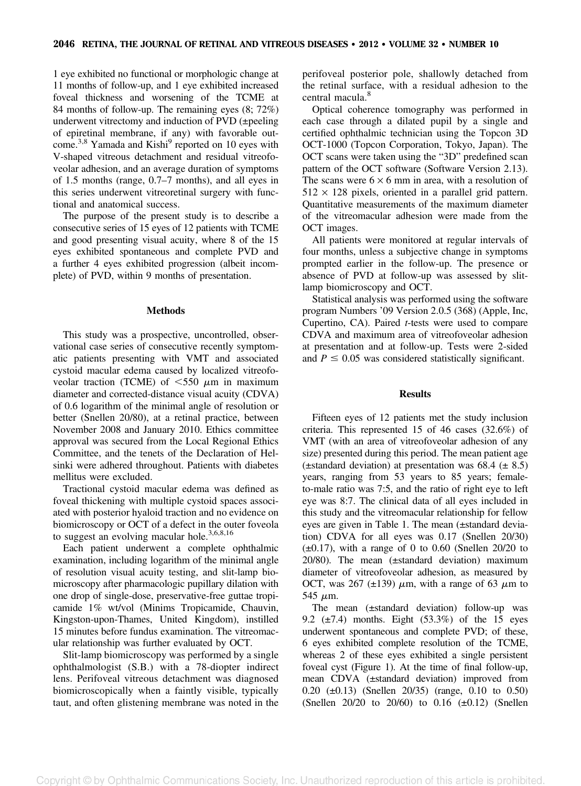1 eye exhibited no functional or morphologic change at 11 months of follow-up, and 1 eye exhibited increased foveal thickness and worsening of the TCME at 84 months of follow-up. The remaining eyes (8; 72%) underwent vitrectomy and induction of PVD (±peeling of epiretinal membrane, if any) with favorable outcome.<sup>3,8</sup> Yamada and Kishi<sup>9</sup> reported on 10 eyes with V-shaped vitreous detachment and residual vitreofoveolar adhesion, and an average duration of symptoms of 1.5 months (range, 0.7–7 months), and all eyes in this series underwent vitreoretinal surgery with functional and anatomical success.

The purpose of the present study is to describe a consecutive series of 15 eyes of 12 patients with TCME and good presenting visual acuity, where 8 of the 15 eyes exhibited spontaneous and complete PVD and a further 4 eyes exhibited progression (albeit incomplete) of PVD, within 9 months of presentation.

## **Methods**

This study was a prospective, uncontrolled, observational case series of consecutive recently symptomatic patients presenting with VMT and associated cystoid macular edema caused by localized vitreofoveolar traction (TCME) of  $\lt 550 \mu m$  in maximum diameter and corrected-distance visual acuity (CDVA) of 0.6 logarithm of the minimal angle of resolution or better (Snellen 20/80), at a retinal practice, between November 2008 and January 2010. Ethics committee approval was secured from the Local Regional Ethics Committee, and the tenets of the Declaration of Helsinki were adhered throughout. Patients with diabetes mellitus were excluded.

Tractional cystoid macular edema was defined as foveal thickening with multiple cystoid spaces associated with posterior hyaloid traction and no evidence on biomicroscopy or OCT of a defect in the outer foveola to suggest an evolving macular hole.<sup>3,6,8,16</sup>

Each patient underwent a complete ophthalmic examination, including logarithm of the minimal angle of resolution visual acuity testing, and slit-lamp biomicroscopy after pharmacologic pupillary dilation with one drop of single-dose, preservative-free guttae tropicamide 1% wt/vol (Minims Tropicamide, Chauvin, Kingston-upon-Thames, United Kingdom), instilled 15 minutes before fundus examination. The vitreomacular relationship was further evaluated by OCT.

Slit-lamp biomicroscopy was performed by a single ophthalmologist (S.B.) with a 78-diopter indirect lens. Perifoveal vitreous detachment was diagnosed biomicroscopically when a faintly visible, typically taut, and often glistening membrane was noted in the perifoveal posterior pole, shallowly detached from the retinal surface, with a residual adhesion to the central macula.<sup>8</sup>

Optical coherence tomography was performed in each case through a dilated pupil by a single and certified ophthalmic technician using the Topcon 3D OCT-1000 (Topcon Corporation, Tokyo, Japan). The OCT scans were taken using the "3D" predefined scan pattern of the OCT software (Software Version 2.13). The scans were  $6 \times 6$  mm in area, with a resolution of  $512 \times 128$  pixels, oriented in a parallel grid pattern. Quantitative measurements of the maximum diameter of the vitreomacular adhesion were made from the OCT images.

All patients were monitored at regular intervals of four months, unless a subjective change in symptoms prompted earlier in the follow-up. The presence or absence of PVD at follow-up was assessed by slitlamp biomicroscopy and OCT.

Statistical analysis was performed using the software program Numbers '09 Version 2.0.5 (368) (Apple, Inc, Cupertino, CA). Paired t-tests were used to compare CDVA and maximum area of vitreofoveolar adhesion at presentation and at follow-up. Tests were 2-sided and  $P \leq 0.05$  was considered statistically significant.

## **Results**

Fifteen eyes of 12 patients met the study inclusion criteria. This represented 15 of 46 cases (32.6%) of VMT (with an area of vitreofoveolar adhesion of any size) presented during this period. The mean patient age  $(\pm$ standard deviation) at presentation was 68.4  $(\pm 8.5)$ years, ranging from 53 years to 85 years; femaleto-male ratio was 7:5, and the ratio of right eye to left eye was 8:7. The clinical data of all eyes included in this study and the vitreomacular relationship for fellow eyes are given in Table 1. The mean (±standard deviation) CDVA for all eyes was 0.17 (Snellen 20/30)  $(\pm 0.17)$ , with a range of 0 to 0.60 (Snellen 20/20 to 20/80). The mean (±standard deviation) maximum diameter of vitreofoveolar adhesion, as measured by OCT, was 267 ( $\pm$ 139)  $\mu$ m, with a range of 63  $\mu$ m to 545  $\mu$ m.

The mean (±standard deviation) follow-up was 9.2  $(\pm 7.4)$  months. Eight  $(53.3\%)$  of the 15 eyes underwent spontaneous and complete PVD; of these, 6 eyes exhibited complete resolution of the TCME, whereas 2 of these eyes exhibited a single persistent foveal cyst (Figure 1). At the time of final follow-up, mean CDVA (±standard deviation) improved from 0.20 (±0.13) (Snellen 20/35) (range, 0.10 to 0.50) (Snellen  $20/20$  to  $20/60$ ) to  $0.16$  ( $\pm 0.12$ ) (Snellen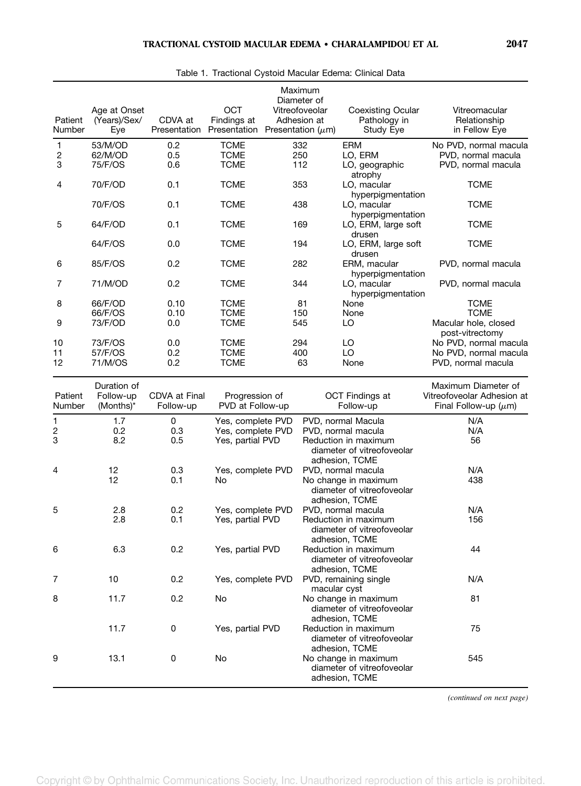| Patient                | Age at Onset<br>(Years)/Sex/  | CDVA at           | <b>OCT</b><br>Findings at                 | Maximum<br>Diameter of<br>Vitreofoveolar<br>Adhesion at |                        | <b>Coexisting Ocular</b><br>Pathology in                             | Vitreomacular<br>Relationship                                     |
|------------------------|-------------------------------|-------------------|-------------------------------------------|---------------------------------------------------------|------------------------|----------------------------------------------------------------------|-------------------------------------------------------------------|
| Number                 | Eye                           | Presentation      | Presentation                              |                                                         | Presentation $(\mu m)$ | Study Eye                                                            | in Fellow Eye                                                     |
| $\mathbf{1}$<br>2<br>3 | 53/M/OD<br>62/M/OD<br>75/F/OS | 0.2<br>0.5<br>0.6 | <b>TCME</b><br><b>TCME</b><br><b>TCME</b> |                                                         | 332<br>250<br>112      | ERM<br>LO, ERM<br>LO, geographic                                     | No PVD, normal macula<br>PVD, normal macula<br>PVD, normal macula |
| 4                      | 70/F/OD                       | 0.1               | <b>TCME</b>                               |                                                         | 353                    | atrophy<br>LO, macular<br>hyperpigmentation                          | <b>TCME</b>                                                       |
|                        | 70/F/OS                       | 0.1               | <b>TCME</b>                               |                                                         | 438                    | LO, macular<br>hyperpigmentation                                     | <b>TCME</b>                                                       |
| 5                      | 64/F/OD                       | 0.1               | <b>TCME</b>                               |                                                         | 169                    | LO, ERM, large soft<br>drusen                                        | <b>TCME</b>                                                       |
|                        | 64/F/OS                       | 0.0               | <b>TCME</b>                               |                                                         | 194                    | LO, ERM, large soft<br>drusen                                        | <b>TCME</b>                                                       |
| 6                      | 85/F/OS                       | 0.2               | <b>TCME</b>                               |                                                         | 282                    | ERM, macular<br>hyperpigmentation                                    | PVD, normal macula                                                |
| 7                      | 71/M/OD                       | 0.2               | <b>TCME</b>                               |                                                         | 344                    | LO, macular<br>hyperpigmentation                                     | PVD, normal macula                                                |
| 8                      | 66/F/OD                       | 0.10              | <b>TCME</b>                               |                                                         | 81                     | None                                                                 | <b>TCME</b>                                                       |
|                        | 66/F/OS                       | 0.10              | <b>TCME</b>                               |                                                         | 150                    | None                                                                 | <b>TCME</b>                                                       |
| 9                      | 73/F/OD                       | 0.0               | <b>TCME</b>                               |                                                         | 545                    | LO                                                                   | Macular hole, closed<br>post-vitrectomy                           |
| 10                     | 73/F/OS                       | 0.0               | <b>TCME</b>                               |                                                         | 294                    | LO                                                                   | No PVD, normal macula                                             |
| 11                     | 57/F/OS                       | 0.2               | <b>TCME</b>                               |                                                         | 400                    | LO                                                                   | No PVD, normal macula                                             |
| 12                     | 71/M/OS                       | 0.2               | <b>TCME</b>                               |                                                         | 63                     | None                                                                 | PVD, normal macula                                                |
|                        |                               |                   |                                           |                                                         |                        |                                                                      |                                                                   |
| Patient                | Duration of<br>Follow-up      | CDVA at Final     | Progression of                            |                                                         |                        | OCT Findings at                                                      | Maximum Diameter of<br>Vitreofoveolar Adhesion at                 |
| Number                 | (Months)*                     | Follow-up         | PVD at Follow-up                          |                                                         |                        | Follow-up                                                            | Final Follow-up $(\mu m)$                                         |
| 1                      | 1.7                           | 0                 | Yes, complete PVD                         |                                                         |                        | PVD, normal Macula                                                   | N/A                                                               |
| 2<br>3                 | 0.2<br>8.2                    | 0.3               | Yes, complete PVD                         |                                                         |                        | PVD, normal macula                                                   | N/A                                                               |
|                        |                               | 0.5               | Yes, partial PVD                          |                                                         |                        | Reduction in maximum<br>diameter of vitreofoveolar<br>adhesion, TCME | 56                                                                |
| 4                      | 12                            | 0.3               | Yes, complete PVD                         |                                                         |                        | PVD, normal macula                                                   | N/A                                                               |
|                        | 12                            | 0.1               | No                                        |                                                         |                        | No change in maximum                                                 | 438                                                               |
|                        |                               |                   |                                           |                                                         |                        | diameter of vitreofoveolar<br>adhesion, TCME                         |                                                                   |
| 5                      | 2.8                           | 0.2               | Yes, complete PVD                         |                                                         |                        | PVD, normal macula                                                   | N/A                                                               |
|                        | 2.8                           | 0.1               | Yes, partial PVD                          |                                                         |                        | Reduction in maximum<br>diameter of vitreofoveolar                   | 156                                                               |
| 6                      | 6.3                           | 0.2               | Yes, partial PVD                          |                                                         |                        | adhesion, TCME<br>Reduction in maximum<br>diameter of vitreofoveolar | 44                                                                |
|                        |                               |                   |                                           |                                                         |                        | adhesion, TCME                                                       |                                                                   |
| 7                      | 10                            | 0.2               | Yes, complete PVD                         |                                                         | macular cyst           | PVD, remaining single                                                | N/A                                                               |
| 8                      | 11.7                          | 0.2               | No                                        |                                                         |                        | No change in maximum<br>diameter of vitreofoveolar                   | 81                                                                |
|                        |                               |                   |                                           |                                                         |                        | adhesion, TCME                                                       |                                                                   |
|                        | 11.7                          | 0                 | Yes, partial PVD                          |                                                         |                        | Reduction in maximum<br>diameter of vitreofoveolar                   | 75                                                                |
|                        |                               |                   |                                           |                                                         |                        | adhesion, TCME                                                       |                                                                   |
| 9                      | 13.1                          | 0                 | No                                        |                                                         |                        | No change in maximum<br>diameter of vitreofoveolar<br>adhesion, TCME | 545                                                               |

Table 1. Tractional Cystoid Macular Edema: Clinical Data

(continued on next page)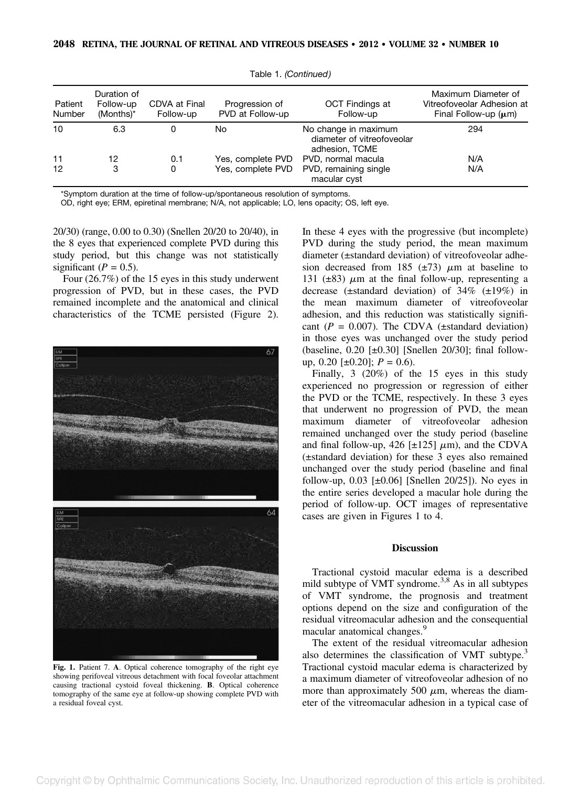| Patient<br>Number | Duration of<br>Follow-up<br>(Months)* | CDVA at Final<br>Follow-up | Progression of<br>PVD at Follow-up | OCT Findings at<br>Follow-up                                         | Maximum Diameter of<br>Vitreofoveolar Adhesion at<br>Final Follow-up $(\mu m)$ |
|-------------------|---------------------------------------|----------------------------|------------------------------------|----------------------------------------------------------------------|--------------------------------------------------------------------------------|
| 10                | 6.3                                   |                            | No                                 | No change in maximum<br>diameter of vitreofoveolar<br>adhesion, TCME | 294                                                                            |
| 11                | 12                                    | 0.1                        | Yes, complete PVD                  | PVD, normal macula                                                   | N/A                                                                            |
| 12                | 3                                     | 0                          | Yes, complete PVD                  | PVD, remaining single<br>macular cyst                                | N/A                                                                            |

Table 1. (Continued)

\*Symptom duration at the time of follow-up/spontaneous resolution of symptoms.

OD, right eye; ERM, epiretinal membrane; N/A, not applicable; LO, lens opacity; OS, left eye.

20/30) (range, 0.00 to 0.30) (Snellen 20/20 to 20/40), in the 8 eyes that experienced complete PVD during this study period, but this change was not statistically significant ( $P = 0.5$ ).

Four (26.7%) of the 15 eyes in this study underwent progression of PVD, but in these cases, the PVD remained incomplete and the anatomical and clinical characteristics of the TCME persisted (Figure 2).



Fig. 1. Patient 7. A. Optical coherence tomography of the right eye showing perifoveal vitreous detachment with focal foveolar attachment causing tractional cystoid foveal thickening. B. Optical coherence tomography of the same eye at follow-up showing complete PVD with a residual foveal cyst.

In these 4 eyes with the progressive (but incomplete) PVD during the study period, the mean maximum diameter (±standard deviation) of vitreofoveolar adhesion decreased from 185 ( $\pm$ 73)  $\mu$ m at baseline to 131 ( $\pm$ 83)  $\mu$ m at the final follow-up, representing a decrease (±standard deviation) of 34% (±19%) in the mean maximum diameter of vitreofoveolar adhesion, and this reduction was statistically significant ( $P = 0.007$ ). The CDVA ( $\pm$ standard deviation) in those eyes was unchanged over the study period (baseline,  $0.20$  [ $\pm 0.30$ ] [Snellen 20/30]; final followup, 0.20 [ $\pm$ 0.20];  $P = 0.6$ ).

Finally, 3 (20%) of the 15 eyes in this study experienced no progression or regression of either the PVD or the TCME, respectively. In these 3 eyes that underwent no progression of PVD, the mean maximum diameter of vitreofoveolar adhesion remained unchanged over the study period (baseline and final follow-up, 426 [ $\pm$ 125]  $\mu$ m), and the CDVA (±standard deviation) for these 3 eyes also remained unchanged over the study period (baseline and final follow-up,  $0.03$  [ $\pm 0.06$ ] [Snellen 20/25]). No eyes in the entire series developed a macular hole during the period of follow-up. OCT images of representative cases are given in Figures 1 to 4.

### **Discussion**

Tractional cystoid macular edema is a described mild subtype of VMT syndrome.<sup>3,8</sup> As in all subtypes of VMT syndrome, the prognosis and treatment options depend on the size and configuration of the residual vitreomacular adhesion and the consequential macular anatomical changes.<sup>9</sup>

The extent of the residual vitreomacular adhesion also determines the classification of VMT subtype.<sup>3</sup> Tractional cystoid macular edema is characterized by a maximum diameter of vitreofoveolar adhesion of no more than approximately 500  $\mu$ m, whereas the diameter of the vitreomacular adhesion in a typical case of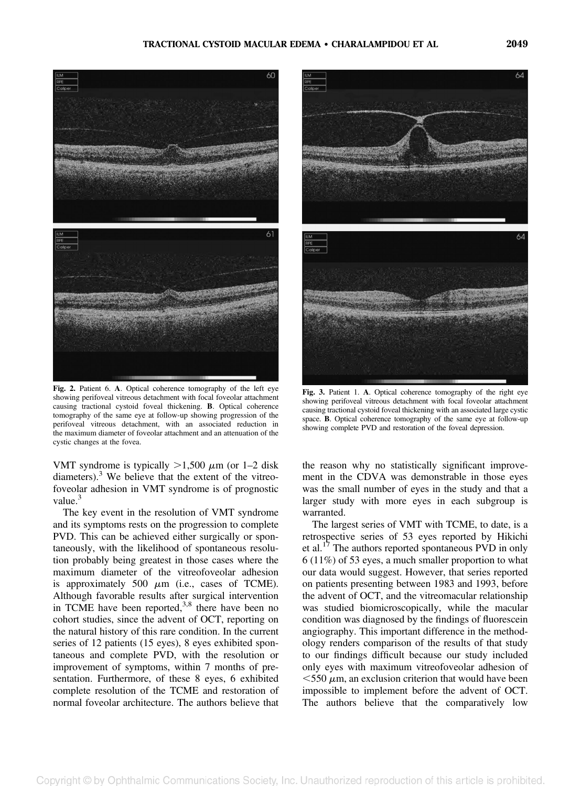

Fig. 2. Patient 6. A. Optical coherence tomography of the left eye showing perifoveal vitreous detachment with focal foveolar attachment causing tractional cystoid foveal thickening. B. Optical coherence tomography of the same eye at follow-up showing progression of the perifoveal vitreous detachment, with an associated reduction in the maximum diameter of foveolar attachment and an attenuation of the cystic changes at the fovea.

VMT syndrome is typically  $>1,500 \mu$ m (or 1–2 disk diameters).<sup>3</sup> We believe that the extent of the vitreofoveolar adhesion in VMT syndrome is of prognostic value.<sup>3</sup>

The key event in the resolution of VMT syndrome and its symptoms rests on the progression to complete PVD. This can be achieved either surgically or spontaneously, with the likelihood of spontaneous resolution probably being greatest in those cases where the maximum diameter of the vitreofoveolar adhesion is approximately 500  $\mu$ m (i.e., cases of TCME). Although favorable results after surgical intervention in TCME have been reported, $3,8$  there have been no cohort studies, since the advent of OCT, reporting on the natural history of this rare condition. In the current series of 12 patients (15 eyes), 8 eyes exhibited spontaneous and complete PVD, with the resolution or improvement of symptoms, within 7 months of presentation. Furthermore, of these 8 eyes, 6 exhibited complete resolution of the TCME and restoration of normal foveolar architecture. The authors believe that



Fig. 3. Patient 1. A. Optical coherence tomography of the right eye showing perifoveal vitreous detachment with focal foveolar attachment causing tractional cystoid foveal thickening with an associated large cystic space. B. Optical coherence tomography of the same eye at follow-up showing complete PVD and restoration of the foveal depression.

the reason why no statistically significant improvement in the CDVA was demonstrable in those eyes was the small number of eyes in the study and that a larger study with more eyes in each subgroup is warranted.

The largest series of VMT with TCME, to date, is a retrospective series of 53 eyes reported by Hikichi et al.<sup>17</sup> The authors reported spontaneous PVD in only 6 (11%) of 53 eyes, a much smaller proportion to what our data would suggest. However, that series reported on patients presenting between 1983 and 1993, before the advent of OCT, and the vitreomacular relationship was studied biomicroscopically, while the macular condition was diagnosed by the findings of fluorescein angiography. This important difference in the methodology renders comparison of the results of that study to our findings difficult because our study included only eyes with maximum vitreofoveolar adhesion of  $<$  550  $\mu$ m, an exclusion criterion that would have been impossible to implement before the advent of OCT. The authors believe that the comparatively low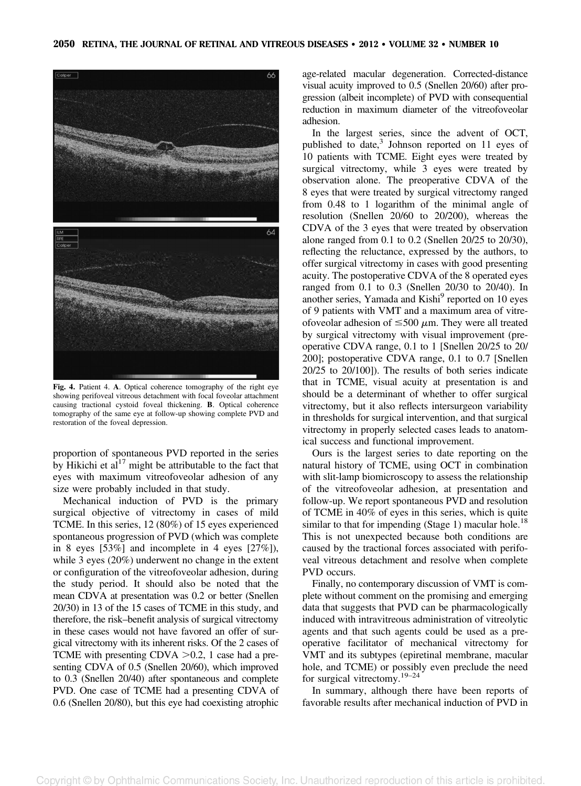

Fig. 4. Patient 4. A. Optical coherence tomography of the right eye showing perifoveal vitreous detachment with focal foveolar attachment causing tractional cystoid foveal thickening. B. Optical coherence tomography of the same eye at follow-up showing complete PVD and restoration of the foveal depression.

proportion of spontaneous PVD reported in the series by Hikichi et  $al<sup>17</sup>$  might be attributable to the fact that eyes with maximum vitreofoveolar adhesion of any size were probably included in that study.

Mechanical induction of PVD is the primary surgical objective of vitrectomy in cases of mild TCME. In this series, 12 (80%) of 15 eyes experienced spontaneous progression of PVD (which was complete in 8 eyes [53%] and incomplete in 4 eyes [27%]), while 3 eyes (20%) underwent no change in the extent or configuration of the vitreofoveolar adhesion, during the study period. It should also be noted that the mean CDVA at presentation was 0.2 or better (Snellen 20/30) in 13 of the 15 cases of TCME in this study, and therefore, the risk–benefit analysis of surgical vitrectomy in these cases would not have favored an offer of surgical vitrectomy with its inherent risks. Of the 2 cases of TCME with presenting CDVA  $>0.2$ , 1 case had a presenting CDVA of 0.5 (Snellen 20/60), which improved to 0.3 (Snellen 20/40) after spontaneous and complete PVD. One case of TCME had a presenting CDVA of 0.6 (Snellen 20/80), but this eye had coexisting atrophic

age-related macular degeneration. Corrected-distance visual acuity improved to 0.5 (Snellen 20/60) after progression (albeit incomplete) of PVD with consequential reduction in maximum diameter of the vitreofoveolar adhesion.

In the largest series, since the advent of OCT, published to date, $3$  Johnson reported on 11 eyes of 10 patients with TCME. Eight eyes were treated by surgical vitrectomy, while 3 eyes were treated by observation alone. The preoperative CDVA of the 8 eyes that were treated by surgical vitrectomy ranged from 0.48 to 1 logarithm of the minimal angle of resolution (Snellen 20/60 to 20/200), whereas the CDVA of the 3 eyes that were treated by observation alone ranged from 0.1 to 0.2 (Snellen 20/25 to 20/30), reflecting the reluctance, expressed by the authors, to offer surgical vitrectomy in cases with good presenting acuity. The postoperative CDVA of the 8 operated eyes ranged from 0.1 to 0.3 (Snellen 20/30 to 20/40). In another series, Yamada and Kishi<sup>9</sup> reported on 10 eyes of 9 patients with VMT and a maximum area of vitreofoveolar adhesion of  $\leq$ 500  $\mu$ m. They were all treated by surgical vitrectomy with visual improvement (preoperative CDVA range, 0.1 to 1 [Snellen 20/25 to 20/ 200]; postoperative CDVA range, 0.1 to 0.7 [Snellen 20/25 to 20/100]). The results of both series indicate that in TCME, visual acuity at presentation is and should be a determinant of whether to offer surgical vitrectomy, but it also reflects intersurgeon variability in thresholds for surgical intervention, and that surgical vitrectomy in properly selected cases leads to anatomical success and functional improvement.

Ours is the largest series to date reporting on the natural history of TCME, using OCT in combination with slit-lamp biomicroscopy to assess the relationship of the vitreofoveolar adhesion, at presentation and follow-up. We report spontaneous PVD and resolution of TCME in 40% of eyes in this series, which is quite similar to that for impending (Stage 1) macular hole.<sup>18</sup> This is not unexpected because both conditions are caused by the tractional forces associated with perifoveal vitreous detachment and resolve when complete PVD occurs.

Finally, no contemporary discussion of VMT is complete without comment on the promising and emerging data that suggests that PVD can be pharmacologically induced with intravitreous administration of vitreolytic agents and that such agents could be used as a preoperative facilitator of mechanical vitrectomy for VMT and its subtypes (epiretinal membrane, macular hole, and TCME) or possibly even preclude the need for surgical vitrectomy.19–<sup>24</sup>

In summary, although there have been reports of favorable results after mechanical induction of PVD in